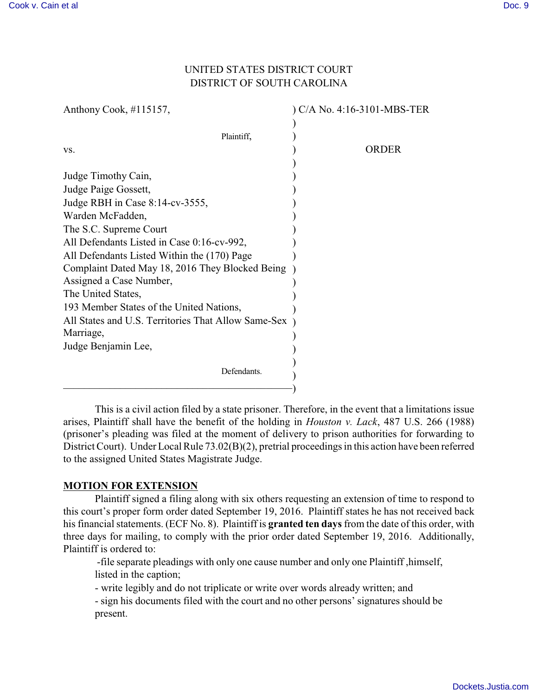# UNITED STATES DISTRICT COURT DISTRICT OF SOUTH CAROLINA

| Anthony Cook, #115157,                                                                                                                                                                                                                                                                                                                                                                                                                        | ) C/A No. 4:16-3101-MBS-TER |
|-----------------------------------------------------------------------------------------------------------------------------------------------------------------------------------------------------------------------------------------------------------------------------------------------------------------------------------------------------------------------------------------------------------------------------------------------|-----------------------------|
| Plaintiff,                                                                                                                                                                                                                                                                                                                                                                                                                                    |                             |
| VS.                                                                                                                                                                                                                                                                                                                                                                                                                                           | <b>ORDER</b>                |
| Judge Timothy Cain,<br>Judge Paige Gossett,<br>Judge RBH in Case 8:14-cv-3555,<br>Warden McFadden,<br>The S.C. Supreme Court<br>All Defendants Listed in Case 0:16-cv-992,<br>All Defendants Listed Within the (170) Page<br>Complaint Dated May 18, 2016 They Blocked Being<br>Assigned a Case Number,<br>The United States,<br>193 Member States of the United Nations,<br>All States and U.S. Territories That Allow Same-Sex<br>Marriage, |                             |
| Judge Benjamin Lee,                                                                                                                                                                                                                                                                                                                                                                                                                           |                             |
| Defendants.                                                                                                                                                                                                                                                                                                                                                                                                                                   |                             |
|                                                                                                                                                                                                                                                                                                                                                                                                                                               |                             |

This is a civil action filed by a state prisoner. Therefore, in the event that a limitations issue arises, Plaintiff shall have the benefit of the holding in *Houston v. Lack*, 487 U.S. 266 (1988) (prisoner's pleading was filed at the moment of delivery to prison authorities for forwarding to District Court). Under Local Rule 73.02(B)(2), pretrial proceedings in this action have been referred to the assigned United States Magistrate Judge.

### **MOTION FOR EXTENSION**

Plaintiff signed a filing along with six others requesting an extension of time to respond to this court's proper form order dated September 19, 2016. Plaintiff states he has not received back his financial statements. (ECF No. 8). Plaintiff is **granted ten days** from the date of this order, with three days for mailing, to comply with the prior order dated September 19, 2016. Additionally, Plaintiff is ordered to:

 -file separate pleadings with only one cause number and only one Plaintiff ,himself, listed in the caption;

- write legibly and do not triplicate or write over words already written; and

- sign his documents filed with the court and no other persons' signatures should be present.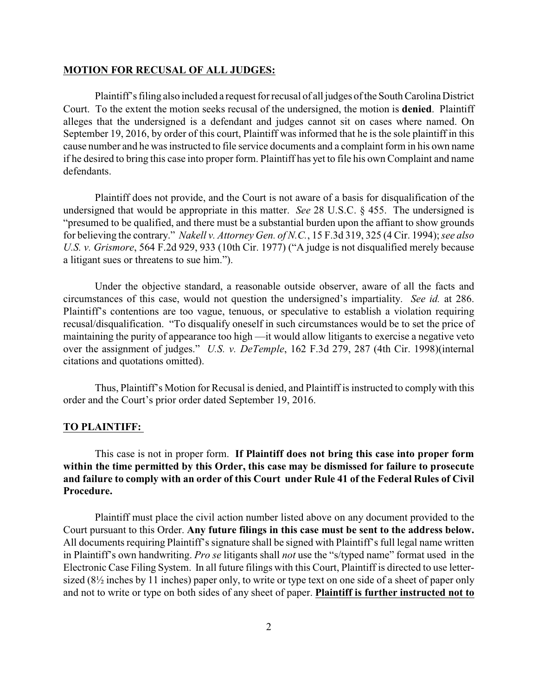#### **MOTION FOR RECUSAL OF ALL JUDGES:**

Plaintiff's filing also included a request for recusal of all judges of the South Carolina District Court. To the extent the motion seeks recusal of the undersigned, the motion is **denied**. Plaintiff alleges that the undersigned is a defendant and judges cannot sit on cases where named. On September 19, 2016, by order of this court, Plaintiff was informed that he is the sole plaintiff in this cause number and he was instructed to file service documents and a complaint form in his own name if he desired to bring this case into proper form. Plaintiff has yet to file his own Complaint and name defendants.

Plaintiff does not provide, and the Court is not aware of a basis for disqualification of the undersigned that would be appropriate in this matter. *See* 28 U.S.C. § 455. The undersigned is "presumed to be qualified, and there must be a substantial burden upon the affiant to show grounds for believing the contrary." *Nakell v. Attorney Gen. of N.C.*, 15 F.3d 319, 325 (4 Cir. 1994); *see also U.S. v. Grismore*, 564 F.2d 929, 933 (10th Cir. 1977) ("A judge is not disqualified merely because a litigant sues or threatens to sue him.").

Under the objective standard, a reasonable outside observer, aware of all the facts and circumstances of this case, would not question the undersigned's impartiality. *See id.* at 286. Plaintiff's contentions are too vague, tenuous, or speculative to establish a violation requiring recusal/disqualification. "To disqualify oneself in such circumstances would be to set the price of maintaining the purity of appearance too high —it would allow litigants to exercise a negative veto over the assignment of judges." *U.S. v. DeTemple*, 162 F.3d 279, 287 (4th Cir. 1998)(internal citations and quotations omitted).

Thus, Plaintiff's Motion for Recusal is denied, and Plaintiff is instructed to comply with this order and the Court's prior order dated September 19, 2016.

#### **TO PLAINTIFF:**

This case is not in proper form. **If Plaintiff does not bring this case into proper form within the time permitted by this Order, this case may be dismissed for failure to prosecute and failure to comply with an order of this Court under Rule 41 of the Federal Rules of Civil Procedure.** 

Plaintiff must place the civil action number listed above on any document provided to the Court pursuant to this Order. **Any future filings in this case must be sent to the address below.** All documents requiring Plaintiff's signature shall be signed with Plaintiff's full legal name written in Plaintiff's own handwriting. *Pro se* litigants shall *not* use the "s/typed name" format used in the Electronic Case Filing System. In all future filings with this Court, Plaintiff is directed to use lettersized (8½ inches by 11 inches) paper only, to write or type text on one side of a sheet of paper only and not to write or type on both sides of any sheet of paper. **Plaintiff is further instructed not to**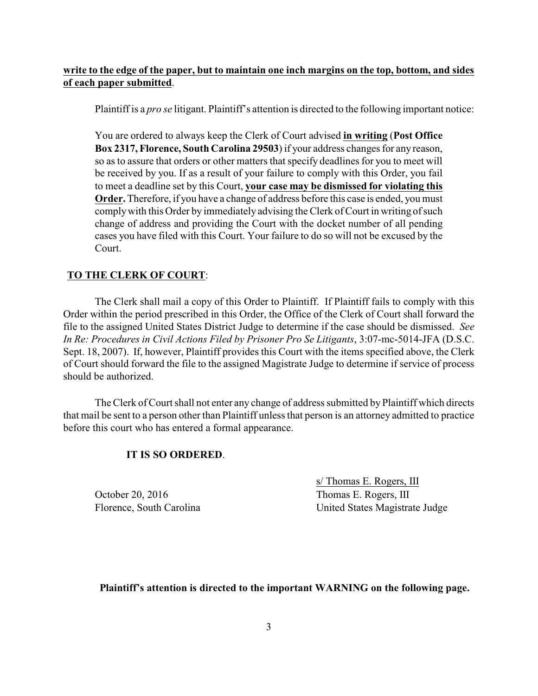## **write to the edge of the paper, but to maintain one inch margins on the top, bottom, and sides of each paper submitted**.

Plaintiff is a *pro se* litigant. Plaintiff's attention is directed to the following important notice:

You are ordered to always keep the Clerk of Court advised **in writing** (**Post Office Box 2317, Florence, South Carolina 29503**) if your address changes for any reason, so as to assure that orders or other matters that specify deadlines for you to meet will be received by you. If as a result of your failure to comply with this Order, you fail to meet a deadline set by this Court, **your case may be dismissed for violating this Order.** Therefore, if you have a change of address before this case is ended, you must comply with this Order by immediately advising the Clerk of Court in writing of such change of address and providing the Court with the docket number of all pending cases you have filed with this Court. Your failure to do so will not be excused by the Court.

### **TO THE CLERK OF COURT**:

The Clerk shall mail a copy of this Order to Plaintiff. If Plaintiff fails to comply with this Order within the period prescribed in this Order, the Office of the Clerk of Court shall forward the file to the assigned United States District Judge to determine if the case should be dismissed. *See In Re: Procedures in Civil Actions Filed by Prisoner Pro Se Litigants*, 3:07-mc-5014-JFA (D.S.C. Sept. 18, 2007). If, however, Plaintiff provides this Court with the items specified above, the Clerk of Court should forward the file to the assigned Magistrate Judge to determine if service of process should be authorized.

The Clerk of Court shall not enter any change of address submitted by Plaintiff which directs that mail be sent to a person other than Plaintiff unless that person is an attorney admitted to practice before this court who has entered a formal appearance.

#### **IT IS SO ORDERED**.

October 20, 2016 Thomas E. Rogers, III

s/ Thomas E. Rogers, III Florence, South Carolina United States Magistrate Judge

#### **Plaintiff's attention is directed to the important WARNING on the following page.**